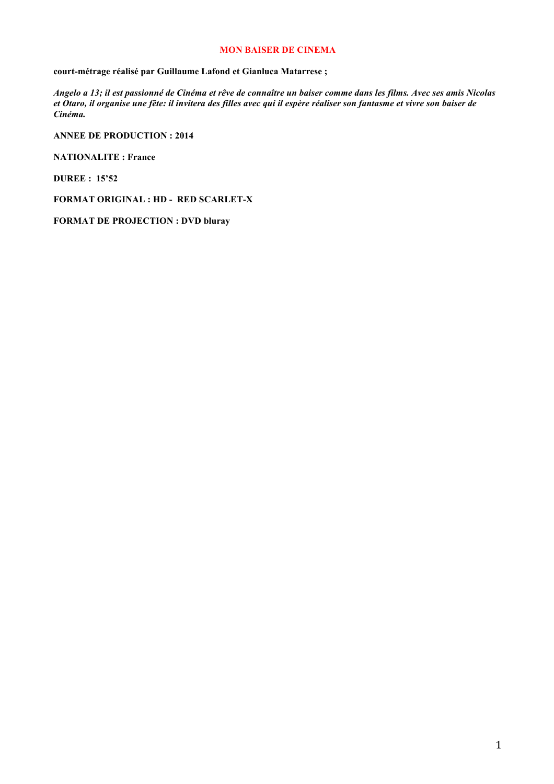### **MON BAISER DE CINEMA**

**court-métrage réalisé par Guillaume Lafond et Gianluca Matarrese ;**

*Angelo a 13; il est passionné de Cinéma et rêve de connaître un baiser comme dans les films. Avec ses amis Nicolas et Otaro, il organise une fête: il invitera des filles avec qui il espère réaliser son fantasme et vivre son baiser de Cinéma.*

**ANNEE DE PRODUCTION : 2014**

**NATIONALITE : France**

**DUREE : 15'52**

**FORMAT ORIGINAL : HD - RED SCARLET-X**

**FORMAT DE PROJECTION : DVD bluray**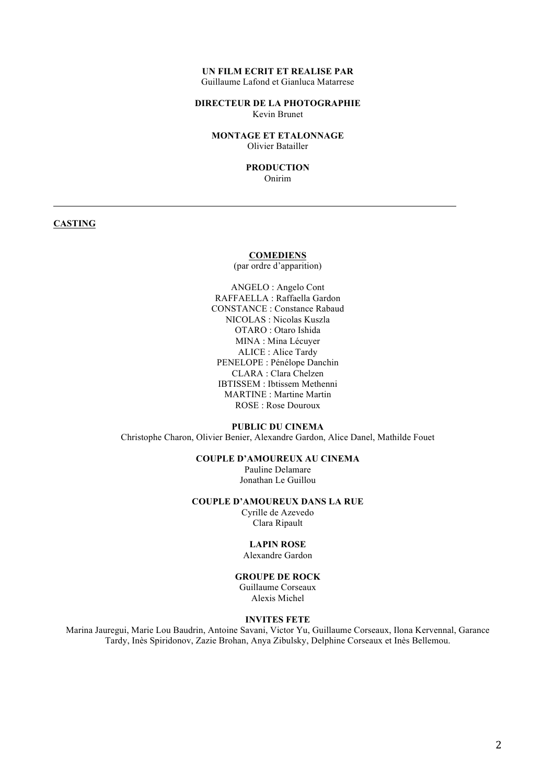#### **UN FILM ECRIT ET REALISE PAR** Guillaume Lafond et Gianluca Matarrese

### **DIRECTEUR DE LA PHOTOGRAPHIE** Kevin Brunet

**MONTAGE ET ETALONNAGE**  Olivier Batailler

#### **PRODUCTION** Onirim

# **CASTING**

#### **COMEDIENS**

(par ordre d'apparition)

ANGELO : Angelo Cont RAFFAELLA : Raffaella Gardon CONSTANCE : Constance Rabaud NICOLAS : Nicolas Kuszla OTARO : Otaro Ishida MINA : Mina Lécuyer ALICE : Alice Tardy PENELOPE : Pénélope Danchin CLARA : Clara Chelzen IBTISSEM : Ibtissem Methenni MARTINE : Martine Martin ROSE : Rose Douroux

#### **PUBLIC DU CINEMA**

Christophe Charon, Olivier Benier, Alexandre Gardon, Alice Danel, Mathilde Fouet

### **COUPLE D'AMOUREUX AU CINEMA**

Pauline Delamare Jonathan Le Guillou

#### **COUPLE D'AMOUREUX DANS LA RUE**

Cyrille de Azevedo Clara Ripault

# **LAPIN ROSE**

Alexandre Gardon

#### **GROUPE DE ROCK**

Guillaume Corseaux Alexis Michel

#### **INVITES FETE**

Marina Jauregui, Marie Lou Baudrin, Antoine Savani, Victor Yu, Guillaume Corseaux, Ilona Kervennal, Garance Tardy, Inès Spiridonov, Zazie Brohan, Anya Zibulsky, Delphine Corseaux et Inès Bellemou.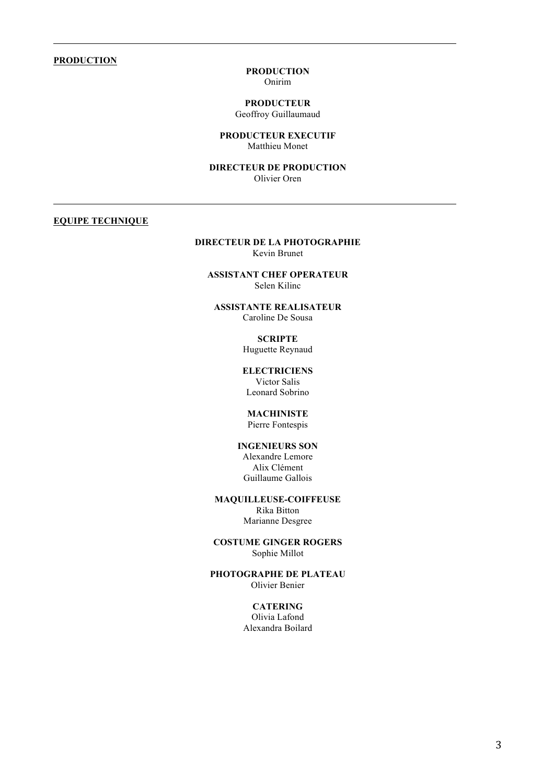#### **PRODUCTION**

#### **PRODUCTION** Onirim

# **PRODUCTEUR**

Geoffroy Guillaumaud

#### **PRODUCTEUR EXECUTIF** Matthieu Monet

#### **DIRECTEUR DE PRODUCTION** Olivier Oren

# **EQUIPE TECHNIQUE**

#### **DIRECTEUR DE LA PHOTOGRAPHIE** Kevin Brunet

**ASSISTANT CHEF OPERATEUR** Selen Kilinc

**ASSISTANTE REALISATEUR** Caroline De Sousa

# **SCRIPTE**

Huguette Reynaud

**ELECTRICIENS** Victor Salis Leonard Sobrino

# **MACHINISTE**

Pierre Fontespis

# **INGENIEURS SON** Alexandre Lemore

Alix Clément Guillaume Gallois

#### **MAQUILLEUSE-COIFFEUSE** Rika Bitton

Marianne Desgree

#### **COSTUME GINGER ROGERS** Sophie Millot

#### **PHOTOGRAPHE DE PLATEAU** Olivier Benier

#### **CATERING**

Olivia Lafond Alexandra Boilard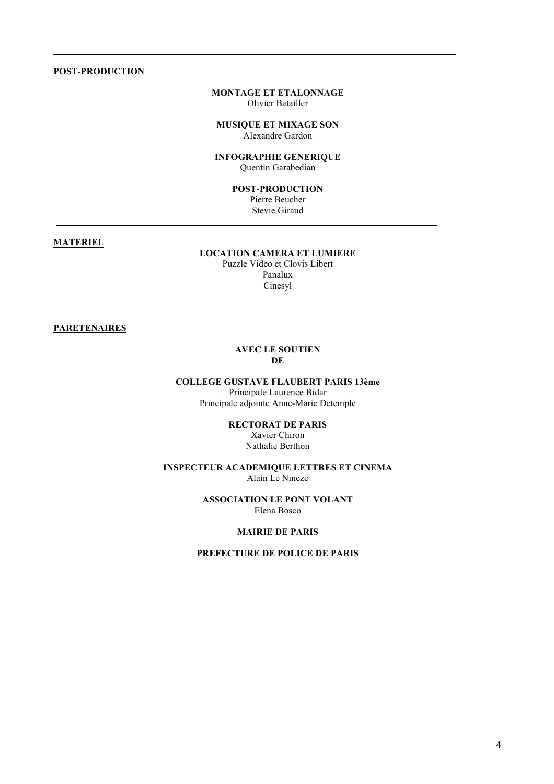#### **POST-PRODUCTION**

#### **MONTAGE ET ETALONNAGE**  Olivier Batailler

**MUSIQUE ET MIXAGE SON** Alexandre Gardon

**INFOGRAPHIE GENERIQUE** Quentin Garabedian

**POST-PRODUCTION**

Pierre Beucher Stevie Giraud

### **MATERIEL**

# **LOCATION CAMERA ET LUMIERE**

Puzzle Video et Clovis Libert Panalux Cinesyl

# **PARETENAIRES**

#### **AVEC LE SOUTIEN DE**

# **COLLEGE GUSTAVE FLAUBERT PARIS 13ème**

Principale Laurence Bidar Principale adjointe Anne-Marie Detemple

> **RECTORAT DE PARIS** Xavier Chiron Nathalie Berthon

#### **INSPECTEUR ACADEMIQUE LETTRES ET CINEMA** Alain Le Ninèze

#### **ASSOCIATION LE PONT VOLANT** Elena Bosco

#### **MAIRIE DE PARIS**

### **PREFECTURE DE POLICE DE PARIS**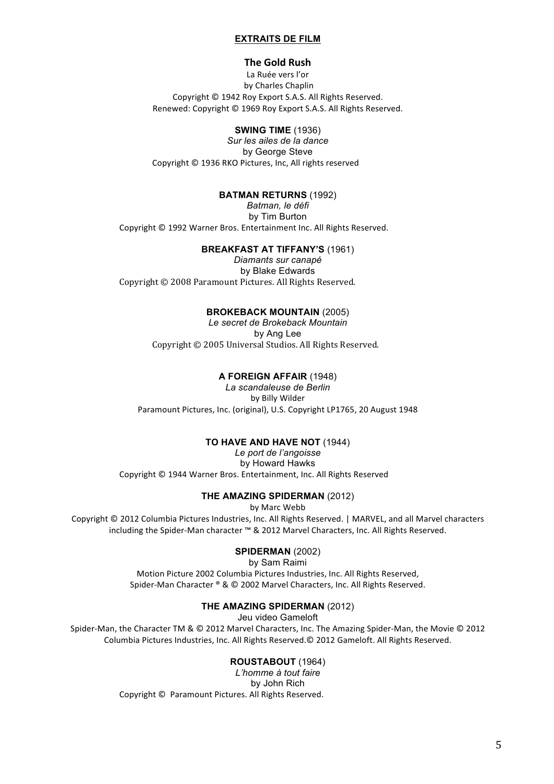### **EXTRAITS DE FILM**

### **The Gold Rush**

La Ruée vers l'or by Charles Chaplin Copyright © 1942 Roy Export S.A.S. All Rights Reserved. Renewed: Copyright © 1969 Roy Export S.A.S. All Rights Reserved.

### **SWING TIME** (1936)

*Sur les ailes de la dance* by George Steve Copyright © 1936 RKO Pictures, Inc, All rights reserved

#### **BATMAN RETURNS** (1992)

*Batman, le défi* by Tim Burton Copyright © 1992 Warner Bros. Entertainment Inc. All Rights Reserved.

# **BREAKFAST AT TIFFANY'S** (1961)

*Diamants sur canapé* by Blake Edwards Copyright © 2008 Paramount Pictures. All Rights Reserved.

#### **BROKEBACK MOUNTAIN** (2005)

*Le secret de Brokeback Mountain* by Ang Lee Copyright © 2005 Universal Studios. All Rights Reserved.

### **A FOREIGN AFFAIR** (1948)

*La scandaleuse de Berlin* by Billy Wilder Paramount Pictures, Inc. (original), U.S. Copyright LP1765, 20 August 1948

#### **TO HAVE AND HAVE NOT** (1944)

*Le port de l'angoisse* by Howard Hawks Copyright © 1944 Warner Bros. Entertainment, Inc. All Rights Reserved

#### **THE AMAZING SPIDERMAN** (2012)

by Marc Webb

Copyright © 2012 Columbia Pictures Industries, Inc. All Rights Reserved. | MARVEL, and all Marvel characters including the Spider-Man character ™ & 2012 Marvel Characters, Inc. All Rights Reserved.

### **SPIDERMAN** (2002)

by Sam Raimi

Motion Picture 2002 Columbia Pictures Industries, Inc. All Rights Reserved, Spider-Man Character ® & © 2002 Marvel Characters, Inc. All Rights Reserved.

# **THE AMAZING SPIDERMAN** (2012)

Jeu video Gameloft

Spider-Man, the Character TM & © 2012 Marvel Characters, Inc. The Amazing Spider-Man, the Movie © 2012 Columbia Pictures Industries, Inc. All Rights Reserved.© 2012 Gameloft. All Rights Reserved.

# **ROUSTABOUT** (1964)

*L'homme à tout faire* by John Rich Copyright © Paramount Pictures. All Rights Reserved.